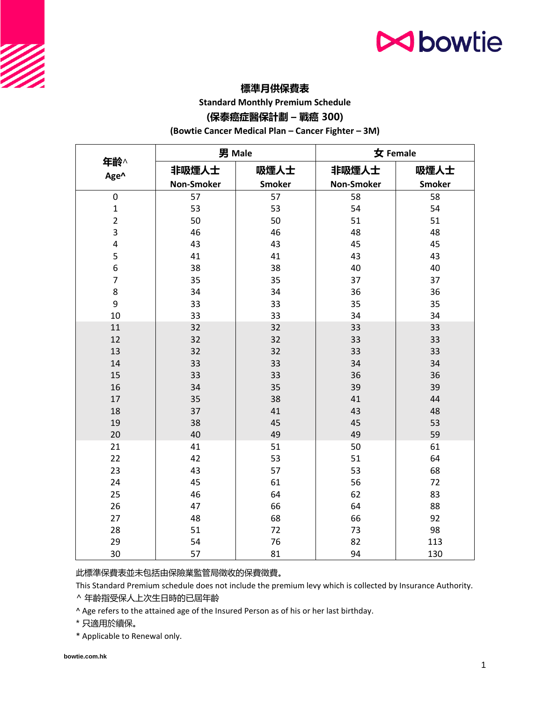## **N**bowtie

### **標準月供保費表**

**Standard Monthly Premium Schedule**

### **(保泰癌症醫保計劃 – 戰癌 300)**

**(Bowtie Cancer Medical Plan – Cancer Fighter – 3M)**

|                         | 男 Male            |               | 女 Female          |               |
|-------------------------|-------------------|---------------|-------------------|---------------|
| 年齡^<br>Age^             | 非吸煙人士             | 吸煙人士          | 非吸煙人士             | 吸煙人士          |
|                         | <b>Non-Smoker</b> | <b>Smoker</b> | <b>Non-Smoker</b> | <b>Smoker</b> |
| $\boldsymbol{0}$        | 57                | 57            | 58                | 58            |
| $\mathbf 1$             | 53                | 53            | 54                | 54            |
| $\overline{2}$          | 50                | 50            | 51                | 51            |
| 3                       | 46                | 46            | 48                | 48            |
| $\overline{\mathbf{4}}$ | 43                | 43            | 45                | 45            |
| 5                       | 41                | 41            | 43                | 43            |
| 6                       | 38                | 38            | 40                | 40            |
| $\overline{7}$          | 35                | 35            | 37                | 37            |
| 8                       | 34                | 34            | 36                | 36            |
| 9                       | 33                | 33            | 35                | 35            |
| 10                      | 33                | 33            | 34                | 34            |
| 11                      | 32                | 32            | 33                | 33            |
| 12                      | 32                | 32            | 33                | 33            |
| 13                      | 32                | 32            | 33                | 33            |
| 14                      | 33                | 33            | 34                | 34            |
| 15                      | 33                | 33            | 36                | 36            |
| 16                      | 34                | 35            | 39                | 39            |
| 17                      | 35                | 38            | 41                | 44            |
| 18                      | 37                | 41            | 43                | 48            |
| 19                      | 38                | 45            | 45                | 53            |
| 20                      | 40                | 49            | 49                | 59            |
| 21                      | 41                | 51            | 50                | 61            |
| 22                      | 42                | 53            | 51                | 64            |
| 23                      | 43                | 57            | 53                | 68            |
| 24                      | 45                | 61            | 56                | 72            |
| 25                      | 46                | 64            | 62                | 83            |
| 26                      | 47                | 66            | 64                | 88            |
| 27                      | 48                | 68            | 66                | 92            |
| 28                      | 51                | 72            | 73                | 98            |
| 29                      | 54                | 76            | 82                | 113           |
| 30                      | 57                | 81            | 94                | 130           |

此標準保費表並未包括由保險業監管局徵收的保費徵費。

This Standard Premium schedule does not include the premium levy which is collected by Insurance Authority.

^ 年齡指受保人上次生日時的已屆年齡

^ Age refers to the attained age of the Insured Person as of his or her last birthday.

\* 只適用於續保。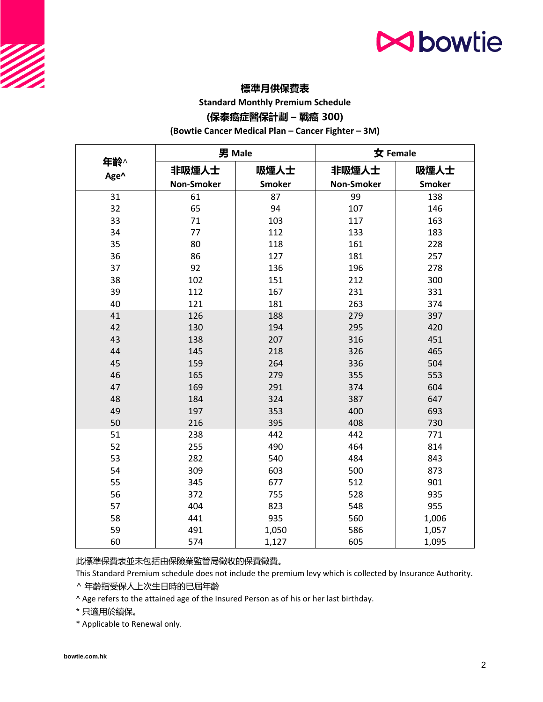## **N**bowtie

### **標準月供保費表**

**Standard Monthly Premium Schedule**

### **(保泰癌症醫保計劃 – 戰癌 300)**

**(Bowtie Cancer Medical Plan – Cancer Fighter – 3M)**

|             | 男 Male            |               | 女 Female          |               |
|-------------|-------------------|---------------|-------------------|---------------|
| 年齡^<br>Age^ | 非吸煙人士             | 吸煙人士          | 非吸煙人士             | 吸煙人士          |
|             | <b>Non-Smoker</b> | <b>Smoker</b> | <b>Non-Smoker</b> | <b>Smoker</b> |
| 31          | 61                | 87            | 99                | 138           |
| 32          | 65                | 94            | 107               | 146           |
| 33          | 71                | 103           | 117               | 163           |
| 34          | 77                | 112           | 133               | 183           |
| 35          | 80                | 118           | 161               | 228           |
| 36          | 86                | 127           | 181               | 257           |
| 37          | 92                | 136           | 196               | 278           |
| 38          | 102               | 151           | 212               | 300           |
| 39          | 112               | 167           | 231               | 331           |
| 40          | 121               | 181           | 263               | 374           |
| 41          | 126               | 188           | 279               | 397           |
| 42          | 130               | 194           | 295               | 420           |
| 43          | 138               | 207           | 316               | 451           |
| 44          | 145               | 218           | 326               | 465           |
| 45          | 159               | 264           | 336               | 504           |
| 46          | 165               | 279           | 355               | 553           |
| 47          | 169               | 291           | 374               | 604           |
| 48          | 184               | 324           | 387               | 647           |
| 49          | 197               | 353           | 400               | 693           |
| 50          | 216               | 395           | 408               | 730           |
| 51          | 238               | 442           | 442               | 771           |
| 52          | 255               | 490           | 464               | 814           |
| 53          | 282               | 540           | 484               | 843           |
| 54          | 309               | 603           | 500               | 873           |
| 55          | 345               | 677           | 512               | 901           |
| 56          | 372               | 755           | 528               | 935           |
| 57          | 404               | 823           | 548               | 955           |
| 58          | 441               | 935           | 560               | 1,006         |
| 59          | 491               | 1,050         | 586               | 1,057         |
| 60          | 574               | 1,127         | 605               | 1,095         |

此標準保費表並未包括由保險業監管局徵收的保費徵費。

This Standard Premium schedule does not include the premium levy which is collected by Insurance Authority.

^ 年齡指受保人上次生日時的已屆年齡

^ Age refers to the attained age of the Insured Person as of his or her last birthday.

\* 只適用於續保。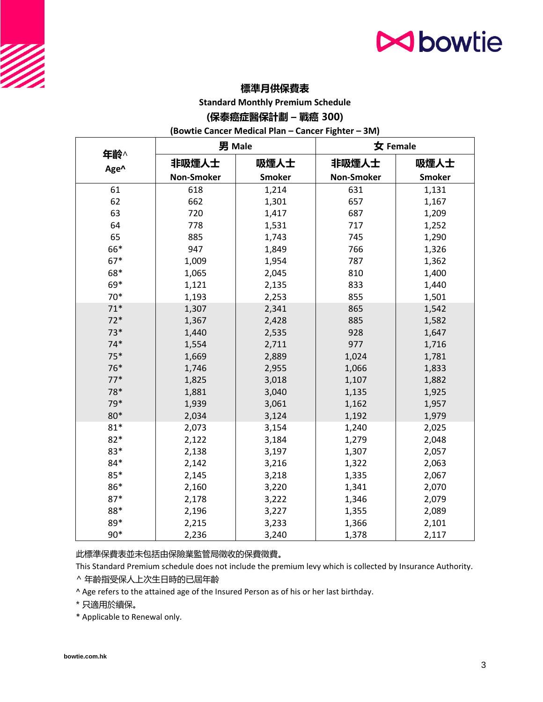# **N**bowtie

### **標準月供保費表**

**Standard Monthly Premium Schedule**

#### **(保泰癌症醫保計劃 – 戰癌 300)**

**(Bowtie Cancer Medical Plan – Cancer Fighter – 3M)**

|             | 男 Male            |               | 女 Female          |               |
|-------------|-------------------|---------------|-------------------|---------------|
| 年齡^<br>Age^ | 非吸煙人士             | 吸煙人士          | 非吸煙人士             | 吸煙人士          |
|             | <b>Non-Smoker</b> | <b>Smoker</b> | <b>Non-Smoker</b> | <b>Smoker</b> |
| 61          | 618               | 1,214         | 631               | 1,131         |
| 62          | 662               | 1,301         | 657               | 1,167         |
| 63          | 720               | 1,417         | 687               | 1,209         |
| 64          | 778               | 1,531         | 717               | 1,252         |
| 65          | 885               | 1,743         | 745               | 1,290         |
| 66*         | 947               | 1,849         | 766               | 1,326         |
| 67*         | 1,009             | 1,954         | 787               | 1,362         |
| 68*         | 1,065             | 2,045         | 810               | 1,400         |
| 69*         | 1,121             | 2,135         | 833               | 1,440         |
| $70*$       | 1,193             | 2,253         | 855               | 1,501         |
| $71*$       | 1,307             | 2,341         | 865               | 1,542         |
| $72*$       | 1,367             | 2,428         | 885               | 1,582         |
| $73*$       | 1,440             | 2,535         | 928               | 1,647         |
| $74*$       | 1,554             | 2,711         | 977               | 1,716         |
| $75*$       | 1,669             | 2,889         | 1,024             | 1,781         |
| 76*         | 1,746             | 2,955         | 1,066             | 1,833         |
| $77*$       | 1,825             | 3,018         | 1,107             | 1,882         |
| 78*         | 1,881             | 3,040         | 1,135             | 1,925         |
| 79*         | 1,939             | 3,061         | 1,162             | 1,957         |
| 80*         | 2,034             | 3,124         | 1,192             | 1,979         |
| $81*$       | 2,073             | 3,154         | 1,240             | 2,025         |
| $82*$       | 2,122             | 3,184         | 1,279             | 2,048         |
| 83*         | 2,138             | 3,197         | 1,307             | 2,057         |
| 84*         | 2,142             | 3,216         | 1,322             | 2,063         |
| 85*         | 2,145             | 3,218         | 1,335             | 2,067         |
| 86*         | 2,160             | 3,220         | 1,341             | 2,070         |
| $87*$       | 2,178             | 3,222         | 1,346             | 2,079         |
| 88*         | 2,196             | 3,227         | 1,355             | 2,089         |
| 89*         | 2,215             | 3,233         | 1,366             | 2,101         |
| $90*$       | 2,236             | 3,240         | 1,378             | 2,117         |

此標準保費表並未包括由保險業監管局徵收的保費徵費。

This Standard Premium schedule does not include the premium levy which is collected by Insurance Authority.

^ 年齡指受保人上次生日時的已屆年齡

^ Age refers to the attained age of the Insured Person as of his or her last birthday.

\* 只適用於續保。